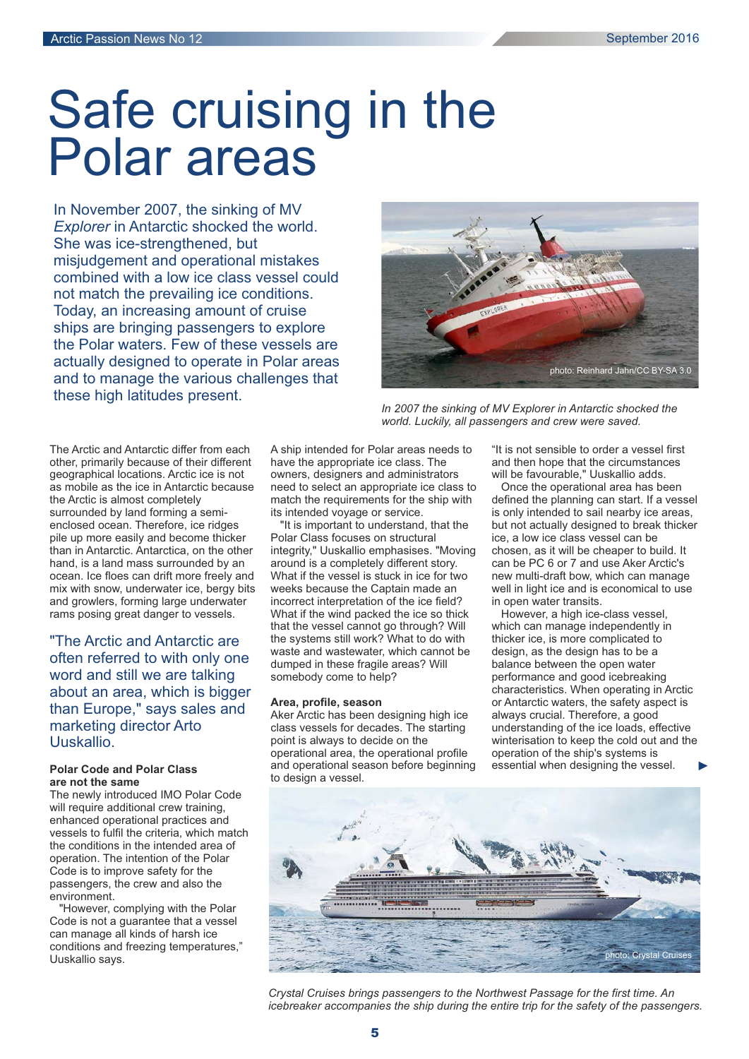# Safe cruising in the Polar areas

In November 2007, the sinking of MV *Explorer* in Antarctic shocked the world. She was ice-strengthened, but misjudgement and operational mistakes combined with a low ice class vessel could not match the prevailing ice conditions. Today, an increasing amount of cruise ships are bringing passengers to explore the Polar waters. Few of these vessels are actually designed to operate in Polar areas and to manage the various challenges that these high latitudes present.

The Arctic and Antarctic differ from each other, primarily because of their different geographical locations. Arctic ice is not as mobile as the ice in Antarctic because the Arctic is almost completely surrounded by land forming a semienclosed ocean. Therefore, ice ridges pile up more easily and become thicker than in Antarctic. Antarctica, on the other hand, is a land mass surrounded by an ocean. Ice floes can drift more freely and mix with snow, underwater ice, bergy bits and growlers, forming large underwater rams posing great danger to vessels.

"The Arctic and Antarctic are often referred to with only one word and still we are talking about an area, which is bigger than Europe," says sales and marketing director Arto Uuskallio.

#### **Polar Code and Polar Class are not the same**

The newly introduced IMO Polar Code will require additional crew training, enhanced operational practices and vessels to fulfil the criteria, which match the conditions in the intended area of operation. The intention of the Polar Code is to improve safety for the passengers, the crew and also the environment.

"However, complying with the Polar Code is not a guarantee that a vessel can manage all kinds of harsh ice conditions and freezing temperatures," Uuskallio says.

A ship intended for Polar areas needs to have the appropriate ice class. The owners, designers and administrators need to select an appropriate ice class to match the requirements for the ship with its intended voyage or service.

"It is important to understand, that the Polar Class focuses on structural integrity," Uuskallio emphasises. "Moving around is a completely different story. What if the vessel is stuck in ice for two weeks because the Captain made an incorrect interpretation of the ice field? What if the wind packed the ice so thick that the vessel cannot go through? Will the systems still work? What to do with waste and wastewater, which cannot be dumped in these fragile areas? Will somebody come to help?

#### **Area, profile, season**

Aker Arctic has been designing high ice class vessels for decades. The starting point is always to decide on the operational area, the operational profile and operational season before beginning to design a vessel.



*In 2007 the sinking of MV Explorer in Antarctic shocked the world. Luckily, all passengers and crew were saved.*

"It is not sensible to order a vessel first and then hope that the circumstances will be favourable," Uuskallio adds.

Once the operational area has been defined the planning can start. If a vessel is only intended to sail nearby ice areas, but not actually designed to break thicker ice, a low ice class vessel can be chosen, as it will be cheaper to build. It can be PC 6 or 7 and use Aker Arctic's new multi-draft bow, which can manage well in light ice and is economical to use in open water transits.

However, a high ice-class vessel, which can manage independently in thicker ice, is more complicated to design, as the design has to be a balance between the open water performance and good icebreaking characteristics. When operating in Arctic or Antarctic waters, the safety aspect is always crucial. Therefore, a good understanding of the ice loads, effective winterisation to keep the cold out and the operation of the ship's systems is essential when designing the vessel.



*Crystal Cruises brings passengers to the Northwest Passage for the first time. An icebreaker accompanies the ship during the entire trip for the safety of the passengers.*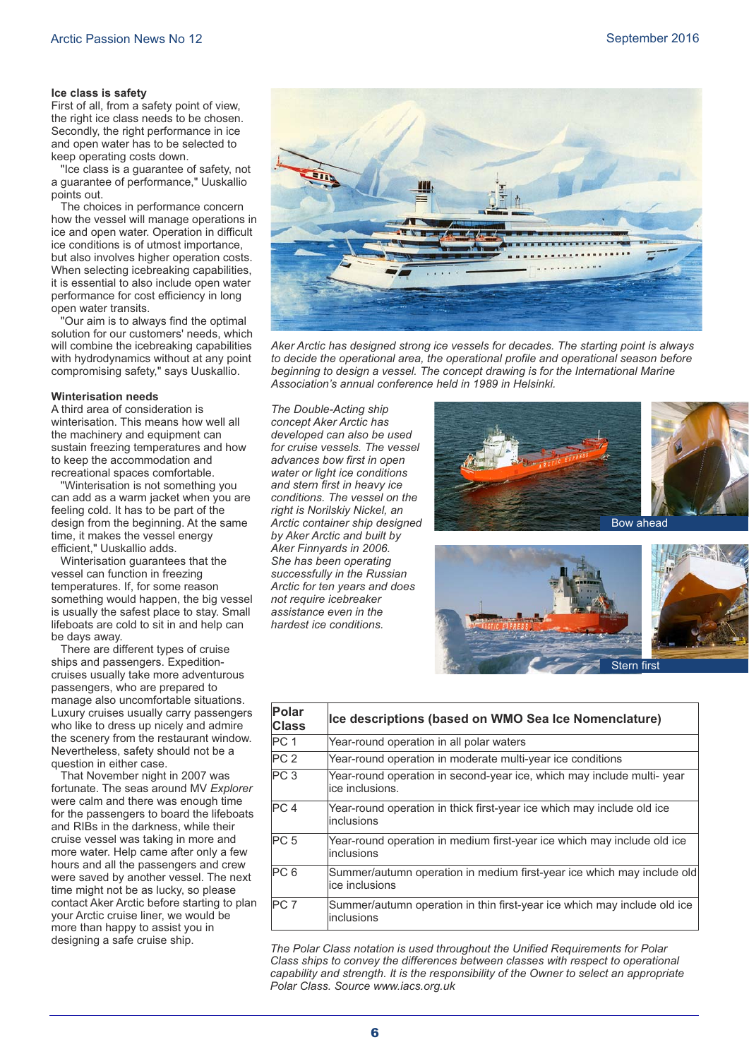#### **Ice class is safety**

First of all, from a safety point of view, the right ice class needs to be chosen. Secondly, the right performance in ice and open water has to be selected to keep operating costs down.

"Ice class is a guarantee of safety, not a guarantee of performance," Uuskallio points out.

The choices in performance concern how the vessel will manage operations in ice and open water. Operation in difficult ice conditions is of utmost importance, but also involves higher operation costs. When selecting icebreaking capabilities, it is essential to also include open water performance for cost efficiency in long open water transits.

"Our aim is to always find the optimal solution for our customers' needs, which will combine the icebreaking capabilities with hydrodynamics without at any point compromising safety," says Uuskallio.

#### **Winterisation needs**

A third area of consideration is winterisation. This means how well all the machinery and equipment can sustain freezing temperatures and how to keep the accommodation and recreational spaces comfortable.

"Winterisation is not something you can add as a warm jacket when you are feeling cold. It has to be part of the design from the beginning. At the same time, it makes the vessel energy efficient," Uuskallio adds.

Winterisation guarantees that the vessel can function in freezing temperatures. If, for some reason something would happen, the big vessel is usually the safest place to stay. Small lifeboats are cold to sit in and help can be days away.

There are different types of cruise ships and passengers. Expeditioncruises usually take more adventurous passengers, who are prepared to manage also uncomfortable situations. Luxury cruises usually carry passengers who like to dress up nicely and admire the scenery from the restaurant window. Nevertheless, safety should not be a question in either case.

That November night in 2007 was fortunate. The seas around MV *Explorer* were calm and there was enough time for the passengers to board the lifeboats and RIBs in the darkness, while their cruise vessel was taking in more and more water. Help came after only a few hours and all the passengers and crew were saved by another vessel. The next time might not be as lucky, so please contact Aker Arctic before starting to plan your Arctic cruise liner, we would be more than happy to assist you in designing a safe cruise ship.



*Aker Arctic has designed strong ice vessels for decades. The starting point is always to decide the operational area, the operational profile and operational season before beginning to design a vessel. The concept drawing is for the International Marine Association's annual conference held in 1989 in Helsinki.*

*The Double-Acting ship concept Aker Arctic has developed can also be used for cruise vessels. The vessel advances bow first in open water or light ice conditions and stern first in heavy ice conditions. The vessel on the right is Norilskiy Nickel, an Arctic container ship designed by Aker Arctic and built by Aker Finnyards in 2006. She has been operating successfully in the Russian Arctic for ten years and does not require icebreaker assistance even in the hardest ice conditions.*





| Polar<br><b>Class</b> | Ice descriptions (based on WMO Sea Ice Nomenclature)                                       |
|-----------------------|--------------------------------------------------------------------------------------------|
| PC <sub>1</sub>       | Year-round operation in all polar waters                                                   |
| PC <sub>2</sub>       | Year-round operation in moderate multi-year ice conditions                                 |
| PC <sub>3</sub>       | Year-round operation in second-year ice, which may include multi- year<br>lice inclusions. |
| PC <sub>4</sub>       | Year-round operation in thick first-year ice which may include old ice<br>linclusions      |
| PC <sub>5</sub>       | Year-round operation in medium first-year ice which may include old ice<br>linclusions     |
| PC <sub>6</sub>       | Summer/autumn operation in medium first-year ice which may include old<br>lice inclusions  |
| PC <sub>7</sub>       | Summer/autumn operation in thin first-year ice which may include old ice<br>inclusions     |

*The Polar Class notation is used throughout the Unified Requirements for Polar Class ships to convey the differences between classes with respect to operational capability and strength. It is the responsibility of the Owner to select an appropriate Polar Class. Source www.iacs.org.uk*